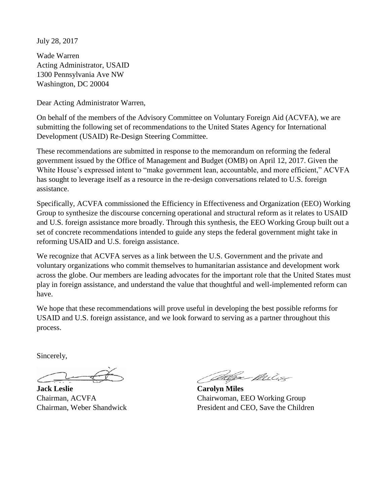July 28, 2017

Wade Warren Acting Administrator, USAID 1300 Pennsylvania Ave NW Washington, DC 20004

Dear Acting Administrator Warren,

On behalf of the members of the Advisory Committee on Voluntary Foreign Aid (ACVFA), we are submitting the following set of recommendations to the United States Agency for International Development (USAID) Re-Design Steering Committee.

These recommendations are submitted in response to the memorandum on reforming the federal government issued by the Office of Management and Budget (OMB) on April 12, 2017. Given the White House's expressed intent to "make government lean, accountable, and more efficient," ACVFA has sought to leverage itself as a resource in the re-design conversations related to U.S. foreign assistance.

Specifically, ACVFA commissioned the Efficiency in Effectiveness and Organization (EEO) Working Group to synthesize the discourse concerning operational and structural reform as it relates to USAID and U.S. foreign assistance more broadly. Through this synthesis, the EEO Working Group built out a set of concrete recommendations intended to guide any steps the federal government might take in reforming USAID and U.S. foreign assistance.

We recognize that ACVFA serves as a link between the U.S. Government and the private and voluntary organizations who commit themselves to humanitarian assistance and development work across the globe. Our members are leading advocates for the important role that the United States must play in foreign assistance, and understand the value that thoughtful and well-implemented reform can have.

We hope that these recommendations will prove useful in developing the best possible reforms for USAID and U.S. foreign assistance, and we look forward to serving as a partner throughout this process.

Sincerely,

**Jack Leslie Carolyn Miles**

Maga Milis

Chairman, ACVFA Chairwoman, EEO Working Group Chairman, Weber Shandwick President and CEO, Save the Children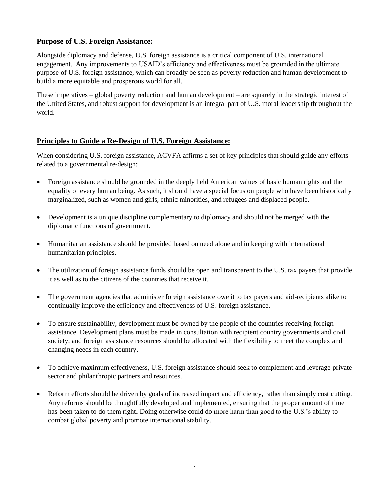## **Purpose of U.S. Foreign Assistance:**

Alongside diplomacy and defense, U.S. foreign assistance is a critical component of U.S. international engagement. Any improvements to USAID's efficiency and effectiveness must be grounded in the ultimate purpose of U.S. foreign assistance, which can broadly be seen as poverty reduction and human development to build a more equitable and prosperous world for all.

These imperatives – global poverty reduction and human development – are squarely in the strategic interest of the United States, and robust support for development is an integral part of U.S. moral leadership throughout the world.

### **Principles to Guide a Re-Design of U.S. Foreign Assistance:**

When considering U.S. foreign assistance, ACVFA affirms a set of key principles that should guide any efforts related to a governmental re-design:

- Foreign assistance should be grounded in the deeply held American values of basic human rights and the equality of every human being. As such, it should have a special focus on people who have been historically marginalized, such as women and girls, ethnic minorities, and refugees and displaced people.
- Development is a unique discipline complementary to diplomacy and should not be merged with the diplomatic functions of government.
- Humanitarian assistance should be provided based on need alone and in keeping with international humanitarian principles.
- The utilization of foreign assistance funds should be open and transparent to the U.S. tax payers that provide it as well as to the citizens of the countries that receive it.
- The government agencies that administer foreign assistance owe it to tax payers and aid-recipients alike to continually improve the efficiency and effectiveness of U.S. foreign assistance.
- To ensure sustainability, development must be owned by the people of the countries receiving foreign assistance. Development plans must be made in consultation with recipient country governments and civil society; and foreign assistance resources should be allocated with the flexibility to meet the complex and changing needs in each country.
- To achieve maximum effectiveness, U.S. foreign assistance should seek to complement and leverage private sector and philanthropic partners and resources.
- Reform efforts should be driven by goals of increased impact and efficiency, rather than simply cost cutting. Any reforms should be thoughtfully developed and implemented, ensuring that the proper amount of time has been taken to do them right. Doing otherwise could do more harm than good to the U.S.'s ability to combat global poverty and promote international stability.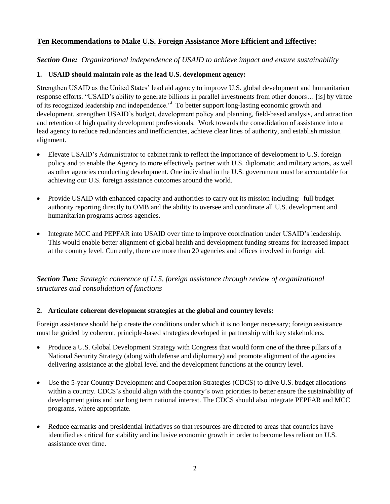## **Ten Recommendations to Make U.S. Foreign Assistance More Efficient and Effective:**

### *Section One: Organizational independence of USAID to achieve impact and ensure sustainability*

### **1. USAID should maintain role as the lead U.S. development agency:**

Strengthen USAID as the United States' lead aid agency to improve U.S. global development and humanitarian response efforts. "USAID's ability to generate billions in parallel investments from other donors… [is] by virtue of its recognized leadership and independence." To better support long-lasting economic growth and development, strengthen USAID's budget, development policy and planning, field-based analysis, and attraction and retention of high quality development professionals. Work towards the consolidation of assistance into a lead agency to reduce redundancies and inefficiencies, achieve clear lines of authority, and establish mission alignment.

- Elevate USAID's Administrator to cabinet rank to reflect the importance of development to U.S. foreign policy and to enable the Agency to more effectively partner with U.S. diplomatic and military actors, as well as other agencies conducting development. One individual in the U.S. government must be accountable for achieving our U.S. foreign assistance outcomes around the world.
- Provide USAID with enhanced capacity and authorities to carry out its mission including: full budget authority reporting directly to OMB and the ability to oversee and coordinate all U.S. development and humanitarian programs across agencies.
- Integrate MCC and PEPFAR into USAID over time to improve coordination under USAID's leadership. This would enable better alignment of global health and development funding streams for increased impact at the country level. Currently, there are more than 20 agencies and offices involved in foreign aid.

# *Section Two: Strategic coherence of U.S. foreign assistance through review of organizational structures and consolidation of functions*

### **2. Articulate coherent development strategies at the global and country levels:**

Foreign assistance should help create the conditions under which it is no longer necessary; foreign assistance must be guided by coherent, principle-based strategies developed in partnership with key stakeholders.

- Produce a U.S. Global Development Strategy with Congress that would form one of the three pillars of a National Security Strategy (along with defense and diplomacy) and promote alignment of the agencies delivering assistance at the global level and the development functions at the country level.
- Use the 5-year Country Development and Cooperation Strategies (CDCS) to drive U.S. budget allocations within a country. CDCS's should align with the country's own priorities to better ensure the sustainability of development gains and our long term national interest. The CDCS should also integrate PEPFAR and MCC programs, where appropriate.
- Reduce earmarks and presidential initiatives so that resources are directed to areas that countries have identified as critical for stability and inclusive economic growth in order to become less reliant on U.S. assistance over time.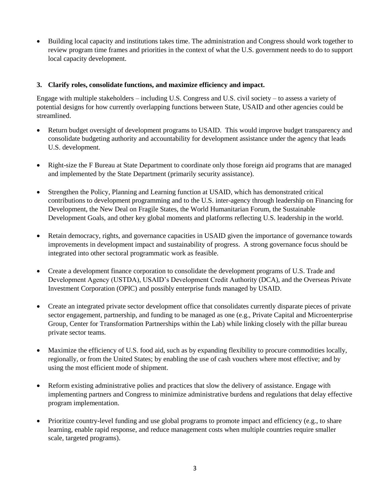Building local capacity and institutions takes time. The administration and Congress should work together to review program time frames and priorities in the context of what the U.S. government needs to do to support local capacity development.

#### **3. Clarify roles, consolidate functions, and maximize efficiency and impact.**

Engage with multiple stakeholders – including U.S. Congress and U.S. civil society – to assess a variety of potential designs for how currently overlapping functions between State, USAID and other agencies could be streamlined.

- Return budget oversight of development programs to USAID. This would improve budget transparency and consolidate budgeting authority and accountability for development assistance under the agency that leads U.S. development.
- Right-size the F Bureau at State Department to coordinate only those foreign aid programs that are managed and implemented by the State Department (primarily security assistance).
- Strengthen the Policy, Planning and Learning function at USAID, which has demonstrated critical contributions to development programming and to the U.S. inter-agency through leadership on Financing for Development, the New Deal on Fragile States, the World Humanitarian Forum, the Sustainable Development Goals, and other key global moments and platforms reflecting U.S. leadership in the world.
- Retain democracy, rights, and governance capacities in USAID given the importance of governance towards improvements in development impact and sustainability of progress. A strong governance focus should be integrated into other sectoral programmatic work as feasible.
- Create a development finance corporation to consolidate the development programs of U.S. Trade and Development Agency (USTDA), USAID's Development Credit Authority (DCA), and the Overseas Private Investment Corporation (OPIC) and possibly enterprise funds managed by USAID.
- Create an integrated private sector development office that consolidates currently disparate pieces of private sector engagement, partnership, and funding to be managed as one (e.g., Private Capital and Microenterprise Group, Center for Transformation Partnerships within the Lab) while linking closely with the pillar bureau private sector teams.
- Maximize the efficiency of U.S. food aid, such as by expanding flexibility to procure commodities locally, regionally, or from the United States; by enabling the use of cash vouchers where most effective; and by using the most efficient mode of shipment.
- Reform existing administrative polies and practices that slow the delivery of assistance. Engage with implementing partners and Congress to minimize administrative burdens and regulations that delay effective program implementation.
- Prioritize country-level funding and use global programs to promote impact and efficiency (e.g., to share learning, enable rapid response, and reduce management costs when multiple countries require smaller scale, targeted programs).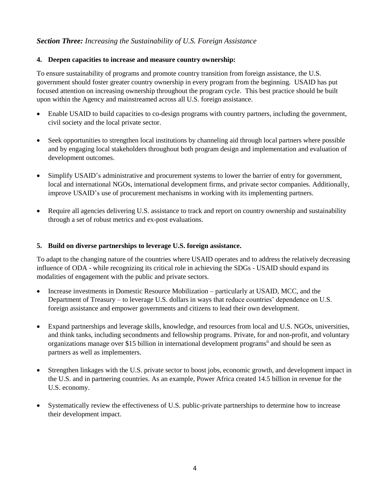## *Section Three: Increasing the Sustainability of U.S. Foreign Assistance*

#### **4. Deepen capacities to increase and measure country ownership:**

To ensure sustainability of programs and promote country transition from foreign assistance, the U.S. government should foster greater country ownership in every program from the beginning. USAID has put focused attention on increasing ownership throughout the program cycle. This best practice should be built upon within the Agency and mainstreamed across all U.S. foreign assistance.

- Enable USAID to build capacities to co-design programs with country partners, including the government, civil society and the local private sector.
- Seek opportunities to strengthen local institutions by channeling aid through local partners where possible and by engaging local stakeholders throughout both program design and implementation and evaluation of development outcomes.
- Simplify USAID's administrative and procurement systems to lower the barrier of entry for government, local and international NGOs, international development firms, and private sector companies. Additionally, improve USAID's use of procurement mechanisms in working with its implementing partners.
- Require all agencies delivering U.S. assistance to track and report on country ownership and sustainability through a set of robust metrics and ex-post evaluations.

#### **5. Build on diverse partnerships to leverage U.S. foreign assistance.**

To adapt to the changing nature of the countries where USAID operates and to address the relatively decreasing influence of ODA - while recognizing its critical role in achieving the SDGs - USAID should expand its modalities of engagement with the public and private sectors.

- Increase investments in Domestic Resource Mobilization particularly at USAID, MCC, and the Department of Treasury – to leverage U.S. dollars in ways that reduce countries' dependence on U.S. foreign assistance and empower governments and citizens to lead their own development.
- Expand partnerships and leverage skills, knowledge, and resources from local and U.S. NGOs, universities, and think tanks, including secondments and fellowship programs. Private, for and non-profit, and voluntary organizations manage over \$15 billion in international development programs<sup>ii</sup> and should be seen as partners as well as implementers.
- Strengthen linkages with the U.S. private sector to boost jobs, economic growth, and development impact in the U.S. and in partnering countries. As an example, Power Africa created 14.5 billion in revenue for the U.S. economy.
- Systematically review the effectiveness of U.S. public-private partnerships to determine how to increase their development impact.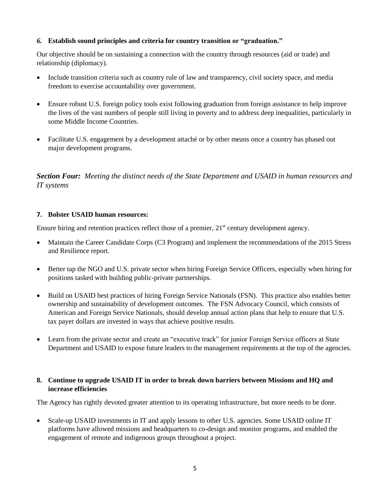### *6.* **Establish sound principles and criteria for country transition or "graduation."**

Our objective should be on sustaining a connection with the country through resources (aid or trade) and relationship (diplomacy).

- Include transition criteria such as country rule of law and transparency, civil society space, and media freedom to exercise accountability over government.
- Ensure robust U.S. foreign policy tools exist following graduation from foreign assistance to help improve the lives of the vast numbers of people still living in poverty and to address deep inequalities, particularly in some Middle Income Countries.
- Facilitate U.S. engagement by a development attaché or by other means once a country has phased out major development programs.

*Section Four: Meeting the distinct needs of the State Department and USAID in human resources and IT systems*

#### **7. Bolster USAID human resources:**

Ensure hiring and retention practices reflect those of a premier,  $21<sup>st</sup>$  century development agency.

- Maintain the Career Candidate Corps (C3 Program) and implement the recommendations of the 2015 Stress and Resilience report.
- Better tap the NGO and U.S. private sector when hiring Foreign Service Officers, especially when hiring for positions tasked with building public-private partnerships.
- Build on USAID best practices of hiring Foreign Service Nationals (FSN). This practice also enables better ownership and sustainability of development outcomes. The FSN Advocacy Council, which consists of American and Foreign Service Nationals, should develop annual action plans that help to ensure that U.S. tax payer dollars are invested in ways that achieve positive results.
- Learn from the private sector and create an "executive track" for junior Foreign Service officers at State Department and USAID to expose future leaders to the management requirements at the top of the agencies.

### **8. Continue to upgrade USAID IT in order to break down barriers between Missions and HQ and increase efficiencies**

The Agency has rightly devoted greater attention to its operating infrastructure, but more needs to be done.

• Scale-up USAID investments in IT and apply lessons to other U.S. agencies. Some USAID online IT platforms have allowed missions and headquarters to co-design and monitor programs, and enabled the engagement of remote and indigenous groups throughout a project.